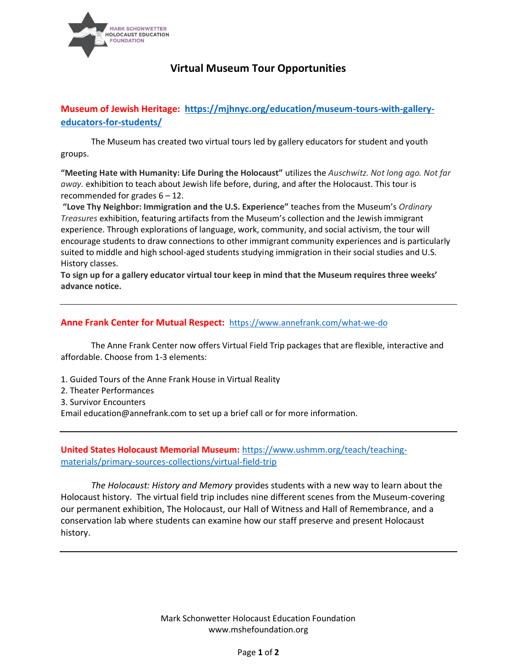

## **Virtual Museum Tour Opportunities**

## **Museum of Jewish Heritage: [https://mjhnyc.org/education/museum-tours-with-gallery](https://mjhnyc.org/education/museum-tours-with-gallery-educators-for-students/)[educators-for-students/](https://mjhnyc.org/education/museum-tours-with-gallery-educators-for-students/)**

The Museum has created two virtual tours led by gallery educators for student and youth groups.

**"Meeting Hate with Humanity: Life During the Holocaust"** utilizes the *Auschwitz. Not long ago. Not far away.* exhibition to teach about Jewish life before, during, and after the Holocaust. This tour is recommended for grades 6 – 12.

**"Love Thy Neighbor: Immigration and the U.S. Experience"** teaches from the Museum's *Ordinary Treasures* exhibition, featuring artifacts from the Museum's collection and the Jewish immigrant experience. Through explorations of language, work, community, and social activism, the tour will encourage students to draw connections to other immigrant community experiences and is particularly suited to middle and high school-aged students studying immigration in their social studies and U.S. History classes.

**To sign up for a gallery educator virtual tour keep in mind that the Museum requires three weeks' advance notice.**

## **Anne Frank Center for Mutual Respect:** <https://www.annefrank.com/what-we-do>

The Anne Frank Center now offers Virtual Field Trip packages that are flexible, interactive and affordable. Choose from 1-3 elements:

- 1. Guided Tours of the Anne Frank House in Virtual Reality
- 2. Theater Performances
- 3. Survivor Encounters

Email education@annefrank.com to set up a brief call or for more information.

**United States Holocaust Memorial Museum:** [https://www.ushmm.org/teach/teaching](https://www.ushmm.org/teach/teaching-materials/primary-sources-collections/virtual-field-trip)[materials/primary-sources-collections/virtual-field-trip](https://www.ushmm.org/teach/teaching-materials/primary-sources-collections/virtual-field-trip)

*The Holocaust: History and Memory* provides students with a new way to learn about the Holocaust history. The virtual field trip includes nine different scenes from the Museum-covering our permanent exhibition, The Holocaust, our Hall of Witness and Hall of Remembrance, and a conservation lab where students can examine how our staff preserve and present Holocaust history.

> Mark Schonwetter Holocaust Education Foundation www.mshefoundation.org